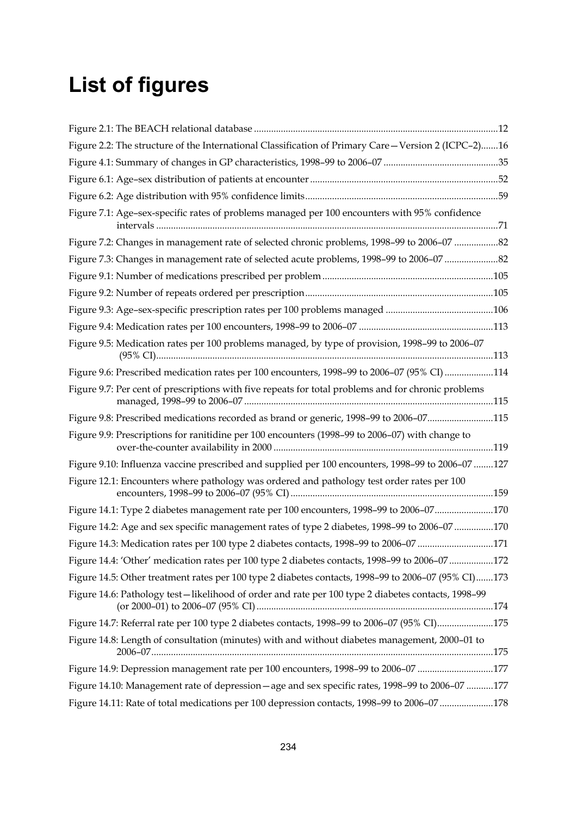## **List of figures**

| Figure 2.2: The structure of the International Classification of Primary Care-Version 2 (ICPC-2)16   |  |
|------------------------------------------------------------------------------------------------------|--|
|                                                                                                      |  |
|                                                                                                      |  |
|                                                                                                      |  |
| Figure 7.1: Age-sex-specific rates of problems managed per 100 encounters with 95% confidence        |  |
| Figure 7.2: Changes in management rate of selected chronic problems, 1998-99 to 2006-07 82           |  |
| Figure 7.3: Changes in management rate of selected acute problems, 1998-99 to 2006-07                |  |
|                                                                                                      |  |
|                                                                                                      |  |
|                                                                                                      |  |
|                                                                                                      |  |
| Figure 9.5: Medication rates per 100 problems managed, by type of provision, 1998-99 to 2006-07      |  |
| Figure 9.6: Prescribed medication rates per 100 encounters, 1998-99 to 2006-07 (95% CI) 114          |  |
| Figure 9.7: Per cent of prescriptions with five repeats for total problems and for chronic problems  |  |
| Figure 9.8: Prescribed medications recorded as brand or generic, 1998-99 to 2006-07115               |  |
| Figure 9.9: Prescriptions for ranitidine per 100 encounters (1998-99 to 2006-07) with change to      |  |
| Figure 9.10: Influenza vaccine prescribed and supplied per 100 encounters, 1998-99 to 2006-07 127    |  |
| Figure 12.1: Encounters where pathology was ordered and pathology test order rates per 100           |  |
| Figure 14.1: Type 2 diabetes management rate per 100 encounters, 1998-99 to 2006-07170               |  |
| Figure 14.2: Age and sex specific management rates of type 2 diabetes, 1998-99 to 2006-07 170        |  |
| Figure 14.3: Medication rates per 100 type 2 diabetes contacts, 1998-99 to 2006-07 171               |  |
| Figure 14.4: 'Other' medication rates per 100 type 2 diabetes contacts, 1998-99 to 2006-07172        |  |
| Figure 14.5: Other treatment rates per 100 type 2 diabetes contacts, 1998–99 to 2006–07 (95% CI)173  |  |
| Figure 14.6: Pathology test - likelihood of order and rate per 100 type 2 diabetes contacts, 1998-99 |  |
| Figure 14.7: Referral rate per 100 type 2 diabetes contacts, 1998-99 to 2006-07 (95% CI)175          |  |
| Figure 14.8: Length of consultation (minutes) with and without diabetes management, 2000–01 to       |  |
| Figure 14.9: Depression management rate per 100 encounters, 1998-99 to 2006-07 177                   |  |
| Figure 14.10: Management rate of depression - age and sex specific rates, 1998-99 to 2006-07 177     |  |
| Figure 14.11: Rate of total medications per 100 depression contacts, 1998-99 to 2006-07 178          |  |